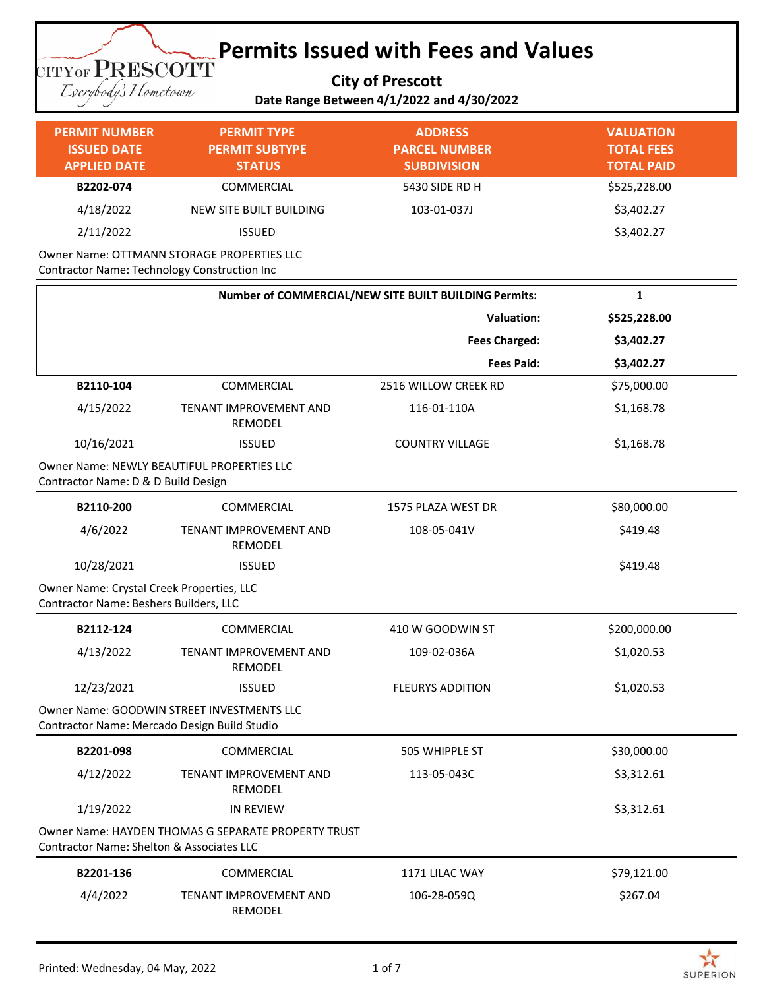### **Permits Issued with Fees and Values TITYOF PRESCOTT**

**City of Prescott**

Eserybody's Hometown

## **Date Range Between 4/1/2022 and 4/30/2022**

| <b>PERMIT NUMBER</b><br><b>ISSUED DATE</b><br><b>APPLIED DATE</b> | <b>PERMIT TYPE</b><br><b>PERMIT SUBTYPE</b><br><b>STATUS</b> | <b>ADDRESS</b><br><b>PARCEL NUMBER</b><br><b>SUBDIVISION</b> | <b>VALUATION</b><br><b>TOTAL FEES</b><br><b>TOTAL PAID</b> |
|-------------------------------------------------------------------|--------------------------------------------------------------|--------------------------------------------------------------|------------------------------------------------------------|
| B2202-074                                                         | COMMERCIAL                                                   | 5430 SIDE RD H                                               | \$525,228.00                                               |
| 4/18/2022                                                         | NEW SITE BUILT BUILDING                                      | 103-01-037J                                                  | \$3,402.27                                                 |
| 2/11/2022                                                         | ISSUED                                                       |                                                              | \$3,402.27                                                 |

Owner Name: OTTMANN STORAGE PROPERTIES LLC Contractor Name: Technology Construction Inc

|                                                                                     |                                                     | Number of COMMERCIAL/NEW SITE BUILT BUILDING Permits: | $\mathbf{1}$ |
|-------------------------------------------------------------------------------------|-----------------------------------------------------|-------------------------------------------------------|--------------|
|                                                                                     |                                                     | <b>Valuation:</b>                                     | \$525,228.00 |
|                                                                                     |                                                     | <b>Fees Charged:</b>                                  | \$3,402.27   |
|                                                                                     |                                                     | <b>Fees Paid:</b>                                     | \$3,402.27   |
| B2110-104                                                                           | COMMERCIAL                                          | 2516 WILLOW CREEK RD                                  | \$75,000.00  |
| 4/15/2022                                                                           | TENANT IMPROVEMENT AND<br><b>REMODEL</b>            | 116-01-110A                                           | \$1,168.78   |
| 10/16/2021                                                                          | <b>ISSUED</b>                                       | <b>COUNTRY VILLAGE</b>                                | \$1,168.78   |
| Contractor Name: D & D Build Design                                                 | <b>Owner Name: NEWLY BEAUTIFUL PROPERTIES LLC</b>   |                                                       |              |
| B2110-200                                                                           | <b>COMMERCIAL</b>                                   | 1575 PLAZA WEST DR                                    | \$80,000.00  |
| 4/6/2022                                                                            | TENANT IMPROVEMENT AND<br><b>REMODEL</b>            | 108-05-041V                                           | \$419.48     |
| 10/28/2021                                                                          | <b>ISSUED</b>                                       |                                                       | \$419.48     |
| Owner Name: Crystal Creek Properties, LLC<br>Contractor Name: Beshers Builders, LLC |                                                     |                                                       |              |
| B2112-124                                                                           | <b>COMMERCIAL</b>                                   | 410 W GOODWIN ST                                      | \$200,000.00 |
| 4/13/2022                                                                           | TENANT IMPROVEMENT AND<br>REMODEL                   | 109-02-036A                                           | \$1,020.53   |
| 12/23/2021                                                                          | <b>ISSUED</b>                                       | <b>FLEURYS ADDITION</b>                               | \$1,020.53   |
| Contractor Name: Mercado Design Build Studio                                        | Owner Name: GOODWIN STREET INVESTMENTS LLC          |                                                       |              |
| B2201-098                                                                           | <b>COMMERCIAL</b>                                   | 505 WHIPPLE ST                                        | \$30,000.00  |
| 4/12/2022                                                                           | TENANT IMPROVEMENT AND<br><b>REMODEL</b>            | 113-05-043C                                           | \$3,312.61   |
| 1/19/2022                                                                           | <b>IN REVIEW</b>                                    |                                                       | \$3,312.61   |
| <b>Contractor Name: Shelton &amp; Associates LLC</b>                                | Owner Name: HAYDEN THOMAS G SEPARATE PROPERTY TRUST |                                                       |              |
| B2201-136                                                                           | <b>COMMERCIAL</b>                                   | 1171 LILAC WAY                                        | \$79,121.00  |
| 4/4/2022                                                                            | TENANT IMPROVEMENT AND<br><b>REMODEL</b>            | 106-28-059Q                                           | \$267.04     |

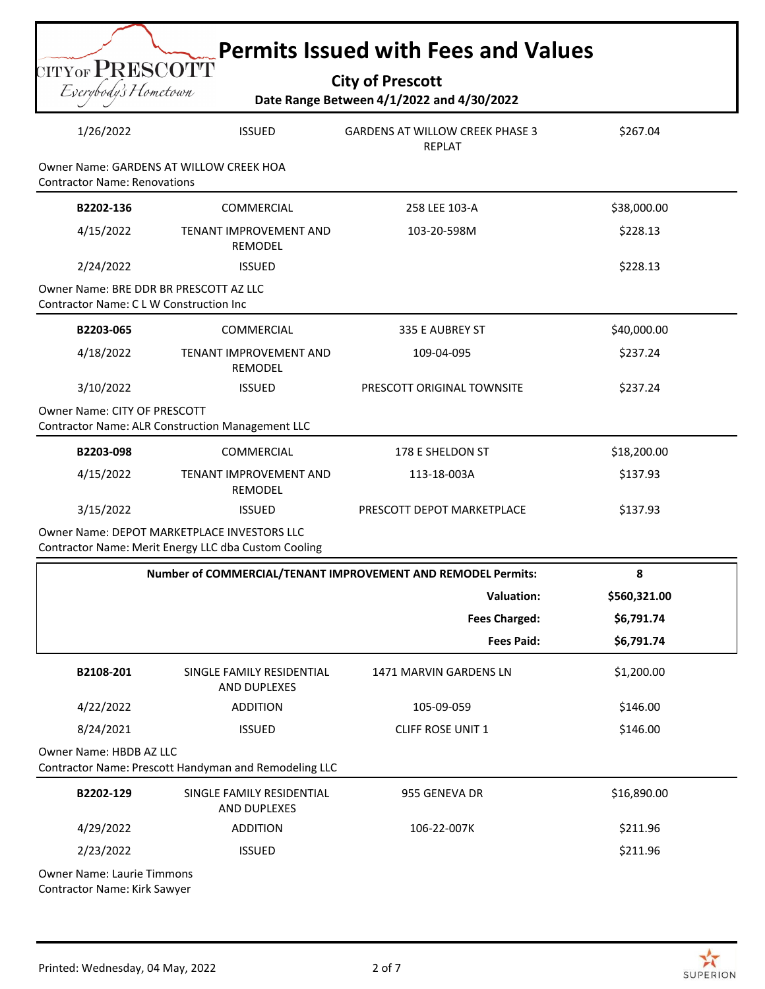| $_{\rm CITYOF}$ ${\rm PRESCOTT}$<br>Eserybody's Hometown |                                                                                                     | <b>City of Prescott</b><br>Date Range Between 4/1/2022 and 4/30/2022 | <b>Permits Issued with Fees and Values</b> |
|----------------------------------------------------------|-----------------------------------------------------------------------------------------------------|----------------------------------------------------------------------|--------------------------------------------|
| 1/26/2022                                                | <b>ISSUED</b>                                                                                       | <b>GARDENS AT WILLOW CREEK PHASE 3</b><br><b>REPLAT</b>              | \$267.04                                   |
| <b>Contractor Name: Renovations</b>                      | Owner Name: GARDENS AT WILLOW CREEK HOA                                                             |                                                                      |                                            |
| B2202-136                                                | <b>COMMERCIAL</b>                                                                                   | 258 LEE 103-A                                                        | \$38,000.00                                |
| 4/15/2022                                                | TENANT IMPROVEMENT AND<br><b>REMODEL</b>                                                            | 103-20-598M                                                          | \$228.13                                   |
| 2/24/2022                                                | <b>ISSUED</b>                                                                                       |                                                                      | \$228.13                                   |
| <b>Contractor Name: CLW Construction Inc.</b>            | Owner Name: BRE DDR BR PRESCOTT AZ LLC                                                              |                                                                      |                                            |
| B2203-065                                                | <b>COMMERCIAL</b>                                                                                   | 335 E AUBREY ST                                                      | \$40,000.00                                |
| 4/18/2022                                                | TENANT IMPROVEMENT AND<br><b>REMODEL</b>                                                            | 109-04-095                                                           | \$237.24                                   |
| 3/10/2022                                                | <b>ISSUED</b>                                                                                       | PRESCOTT ORIGINAL TOWNSITE                                           | \$237.24                                   |
| <b>Owner Name: CITY OF PRESCOTT</b>                      | <b>Contractor Name: ALR Construction Management LLC</b>                                             |                                                                      |                                            |
| B2203-098                                                | COMMERCIAL                                                                                          | 178 E SHELDON ST                                                     | \$18,200.00                                |
| 4/15/2022                                                | TENANT IMPROVEMENT AND<br><b>REMODEL</b>                                                            | 113-18-003A                                                          | \$137.93                                   |
| 3/15/2022                                                | <b>ISSUED</b>                                                                                       | PRESCOTT DEPOT MARKETPLACE                                           | \$137.93                                   |
|                                                          | Owner Name: DEPOT MARKETPLACE INVESTORS LLC<br>Contractor Name: Merit Energy LLC dba Custom Cooling |                                                                      |                                            |
|                                                          |                                                                                                     |                                                                      |                                            |
|                                                          |                                                                                                     | Number of COMMERCIAL/TENANT IMPROVEMENT AND REMODEL Permits:         | 8                                          |
|                                                          |                                                                                                     | <b>Valuation:</b>                                                    | \$560,321.00                               |
|                                                          |                                                                                                     | <b>Fees Charged:</b>                                                 | \$6,791.74                                 |
|                                                          |                                                                                                     | <b>Fees Paid:</b>                                                    | \$6,791.74                                 |
| B2108-201                                                | SINGLE FAMILY RESIDENTIAL<br>AND DUPLEXES                                                           | 1471 MARVIN GARDENS LN                                               | \$1,200.00                                 |
| 4/22/2022                                                | <b>ADDITION</b>                                                                                     | 105-09-059                                                           | \$146.00                                   |
| 8/24/2021                                                | <b>ISSUED</b>                                                                                       | CLIFF ROSE UNIT 1                                                    | \$146.00                                   |
|                                                          | Contractor Name: Prescott Handyman and Remodeling LLC                                               |                                                                      |                                            |
| Owner Name: HBDB AZ LLC<br>B2202-129                     | SINGLE FAMILY RESIDENTIAL<br>AND DUPLEXES                                                           | 955 GENEVA DR                                                        | \$16,890.00                                |
| 4/29/2022                                                | <b>ADDITION</b>                                                                                     | 106-22-007K                                                          | \$211.96                                   |

Owner Name: Laurie Timmons Contractor Name: Kirk Sawyer

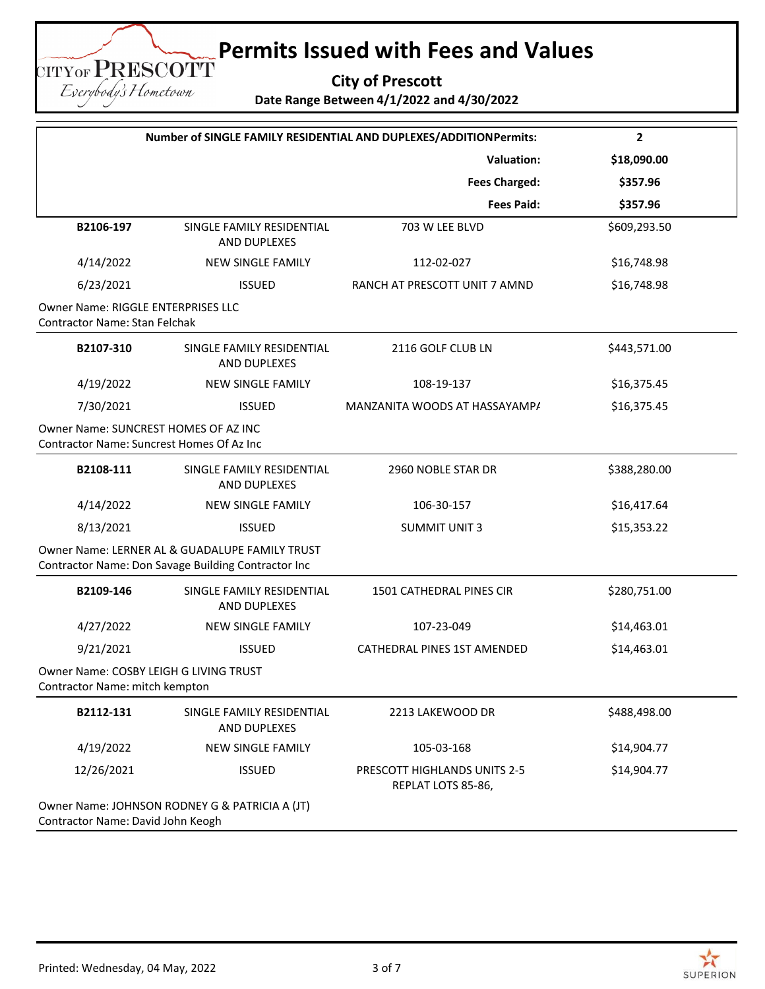**City of Prescott Date Range Between 4/1/2022 and 4/30/2022**

| Number of SINGLE FAMILY RESIDENTIAL AND DUPLEXES/ADDITIONPermits:                 |                                                                                                       |                                                    | $\mathbf{2}$ |
|-----------------------------------------------------------------------------------|-------------------------------------------------------------------------------------------------------|----------------------------------------------------|--------------|
|                                                                                   |                                                                                                       | <b>Valuation:</b>                                  | \$18,090.00  |
|                                                                                   |                                                                                                       | <b>Fees Charged:</b>                               | \$357.96     |
|                                                                                   |                                                                                                       | <b>Fees Paid:</b>                                  | \$357.96     |
| B2106-197                                                                         | SINGLE FAMILY RESIDENTIAL<br>AND DUPLEXES                                                             | 703 W LEE BLVD                                     | \$609,293.50 |
| 4/14/2022                                                                         | <b>NEW SINGLE FAMILY</b>                                                                              | 112-02-027                                         | \$16,748.98  |
| 6/23/2021                                                                         | <b>ISSUED</b>                                                                                         | RANCH AT PRESCOTT UNIT 7 AMND                      | \$16,748.98  |
| <b>Owner Name: RIGGLE ENTERPRISES LLC</b><br><b>Contractor Name: Stan Felchak</b> |                                                                                                       |                                                    |              |
| B2107-310                                                                         | SINGLE FAMILY RESIDENTIAL<br>AND DUPLEXES                                                             | 2116 GOLF CLUB LN                                  | \$443,571.00 |
| 4/19/2022                                                                         | <b>NEW SINGLE FAMILY</b>                                                                              | 108-19-137                                         | \$16,375.45  |
| 7/30/2021                                                                         | <b>ISSUED</b>                                                                                         | MANZANITA WOODS AT HASSAYAMP/                      | \$16,375.45  |
| Owner Name: SUNCREST HOMES OF AZ INC<br>Contractor Name: Suncrest Homes Of Az Inc |                                                                                                       |                                                    |              |
| B2108-111                                                                         | SINGLE FAMILY RESIDENTIAL<br>AND DUPLEXES                                                             | 2960 NOBLE STAR DR                                 | \$388,280.00 |
| 4/14/2022                                                                         | NEW SINGLE FAMILY                                                                                     | 106-30-157                                         | \$16,417.64  |
| 8/13/2021                                                                         | <b>ISSUED</b>                                                                                         | <b>SUMMIT UNIT 3</b>                               | \$15,353.22  |
|                                                                                   | Owner Name: LERNER AL & GUADALUPE FAMILY TRUST<br>Contractor Name: Don Savage Building Contractor Inc |                                                    |              |
| B2109-146                                                                         | SINGLE FAMILY RESIDENTIAL<br>AND DUPLEXES                                                             | 1501 CATHEDRAL PINES CIR                           | \$280,751.00 |
| 4/27/2022                                                                         | NEW SINGLE FAMILY                                                                                     | 107-23-049                                         | \$14,463.01  |
| 9/21/2021                                                                         | <b>ISSUED</b>                                                                                         | CATHEDRAL PINES 1ST AMENDED                        | \$14,463.01  |
| Owner Name: COSBY LEIGH G LIVING TRUST<br>Contractor Name: mitch kempton          |                                                                                                       |                                                    |              |
| B2112-131                                                                         | SINGLE FAMILY RESIDENTIAL<br>AND DUPLEXES                                                             | 2213 LAKEWOOD DR                                   | \$488,498.00 |
| 4/19/2022                                                                         | <b>NEW SINGLE FAMILY</b>                                                                              | 105-03-168                                         | \$14,904.77  |
| 12/26/2021                                                                        | <b>ISSUED</b>                                                                                         | PRESCOTT HIGHLANDS UNITS 2-5<br>REPLAT LOTS 85-86, | \$14,904.77  |
| Contractor Name: David John Keogh                                                 | Owner Name: JOHNSON RODNEY G & PATRICIA A (JT)                                                        |                                                    |              |

CITYOF PRESCOTT Eserybody's Hometown

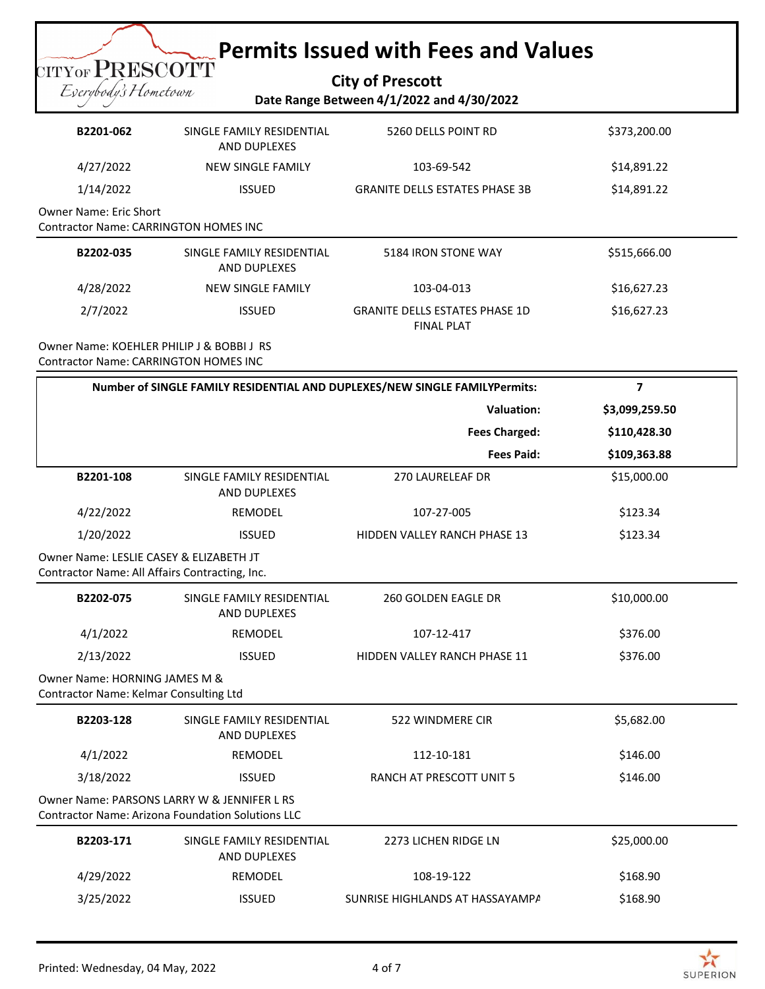#### **City of Prescott Date Range Between 4/1/2022 and 4/30/2022**

| B2201-062                                                       | SINGLE FAMILY RESIDENTIAL<br>AND DUPLEXES | 5260 DELLS POINT RD                                        | \$373,200.00 |
|-----------------------------------------------------------------|-------------------------------------------|------------------------------------------------------------|--------------|
| 4/27/2022                                                       | NEW SINGLE FAMILY                         | 103-69-542                                                 | \$14,891.22  |
| 1/14/2022                                                       | <b>ISSUED</b>                             | <b>GRANITE DELLS ESTATES PHASE 3B</b>                      | \$14,891.22  |
| Owner Name: Eric Short<br>Contractor Name: CARRINGTON HOMES INC |                                           |                                                            |              |
| B2202-035                                                       | SINGLE FAMILY RESIDENTIAL<br>AND DUPLEXES | 5184 IRON STONE WAY                                        | \$515,666.00 |
| 4/28/2022                                                       | NEW SINGLE FAMILY                         | 103-04-013                                                 | \$16,627.23  |
| 2/7/2022                                                        | <b>ISSUED</b>                             | <b>GRANITE DELLS ESTATES PHASE 1D</b><br><b>FINAL PLAT</b> | \$16,627.23  |

Owner Name: KOEHLER PHILIP J & BOBBI J RS Contractor Name: CARRINGTON HOMES INC

**TITYOF PRESCOTT** Exerybody's Hometown

| Number of SINGLE FAMILY RESIDENTIAL AND DUPLEXES/NEW SINGLE FAMILYPermits:                              |                                                  |                                     | $\overline{\mathbf{z}}$ |
|---------------------------------------------------------------------------------------------------------|--------------------------------------------------|-------------------------------------|-------------------------|
|                                                                                                         |                                                  | <b>Valuation:</b>                   | \$3,099,259.50          |
|                                                                                                         |                                                  | <b>Fees Charged:</b>                | \$110,428.30            |
|                                                                                                         |                                                  | <b>Fees Paid:</b>                   | \$109,363.88            |
| B2201-108                                                                                               | SINGLE FAMILY RESIDENTIAL<br><b>AND DUPLEXES</b> | <b>270 LAURELEAF DR</b>             | \$15,000.00             |
| 4/22/2022                                                                                               | <b>REMODEL</b>                                   | 107-27-005                          | \$123.34                |
| 1/20/2022                                                                                               | <b>ISSUED</b>                                    | <b>HIDDEN VALLEY RANCH PHASE 13</b> | \$123.34                |
| Owner Name: LESLIE CASEY & ELIZABETH JT<br>Contractor Name: All Affairs Contracting, Inc.               |                                                  |                                     |                         |
| B2202-075                                                                                               | SINGLE FAMILY RESIDENTIAL<br><b>AND DUPLEXES</b> | 260 GOLDEN EAGLE DR                 | \$10,000.00             |
| 4/1/2022                                                                                                | <b>REMODEL</b>                                   | 107-12-417                          | \$376.00                |
| 2/13/2022                                                                                               | <b>ISSUED</b>                                    | HIDDEN VALLEY RANCH PHASE 11        | \$376.00                |
| Owner Name: HORNING JAMES M &<br>Contractor Name: Kelmar Consulting Ltd                                 |                                                  |                                     |                         |
| B2203-128                                                                                               | SINGLE FAMILY RESIDENTIAL<br><b>AND DUPLEXES</b> | 522 WINDMERE CIR                    | \$5,682.00              |
| 4/1/2022                                                                                                | <b>REMODEL</b>                                   | 112-10-181                          | \$146.00                |
| 3/18/2022                                                                                               | <b>ISSUED</b>                                    | RANCH AT PRESCOTT UNIT 5            | \$146.00                |
| Owner Name: PARSONS LARRY W & JENNIFER L RS<br><b>Contractor Name: Arizona Foundation Solutions LLC</b> |                                                  |                                     |                         |
| B2203-171                                                                                               | SINGLE FAMILY RESIDENTIAL<br><b>AND DUPLEXES</b> | 2273 LICHEN RIDGE LN                | \$25,000.00             |
| 4/29/2022                                                                                               | REMODEL                                          | 108-19-122                          | \$168.90                |
| 3/25/2022                                                                                               | <b>ISSUED</b>                                    | SUNRISE HIGHLANDS AT HASSAYAMPA     | \$168.90                |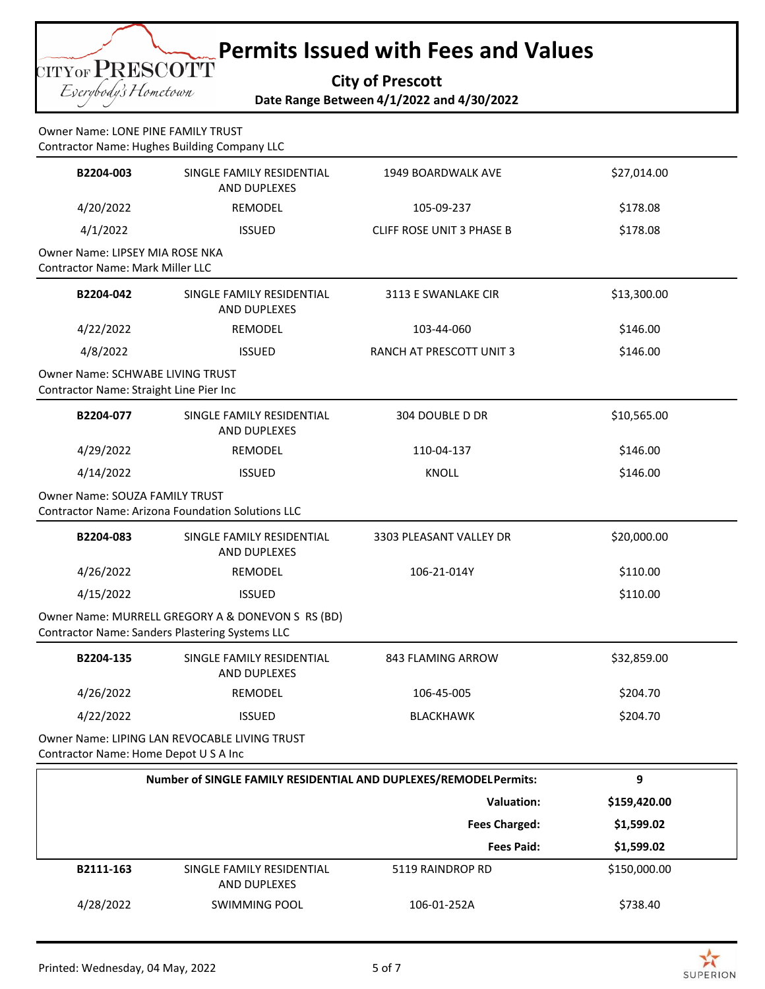**City of Prescott**

**Date Range Between 4/1/2022 and 4/30/2022**

Owner Name: LONE PINE FAMILY TRUST Contractor Name: Hughes Building Company LLC

CITYOF PRESCOTT Eserybody's Hometown

| B2204-003                                                                   | SINGLE FAMILY RESIDENTIAL<br>AND DUPLEXES                                                            | 1949 BOARDWALK AVE               | \$27,014.00  |
|-----------------------------------------------------------------------------|------------------------------------------------------------------------------------------------------|----------------------------------|--------------|
| 4/20/2022                                                                   | REMODEL                                                                                              | 105-09-237                       | \$178.08     |
| 4/1/2022                                                                    | <b>ISSUED</b>                                                                                        | <b>CLIFF ROSE UNIT 3 PHASE B</b> | \$178.08     |
| Owner Name: LIPSEY MIA ROSE NKA<br><b>Contractor Name: Mark Miller LLC</b>  |                                                                                                      |                                  |              |
| B2204-042                                                                   | SINGLE FAMILY RESIDENTIAL<br>AND DUPLEXES                                                            | 3113 E SWANLAKE CIR              | \$13,300.00  |
| 4/22/2022                                                                   | REMODEL                                                                                              | 103-44-060                       | \$146.00     |
| 4/8/2022                                                                    | <b>ISSUED</b>                                                                                        | RANCH AT PRESCOTT UNIT 3         | \$146.00     |
| Owner Name: SCHWABE LIVING TRUST<br>Contractor Name: Straight Line Pier Inc |                                                                                                      |                                  |              |
| B2204-077                                                                   | SINGLE FAMILY RESIDENTIAL<br>AND DUPLEXES                                                            | 304 DOUBLE D DR                  | \$10,565.00  |
| 4/29/2022                                                                   | REMODEL                                                                                              | 110-04-137                       | \$146.00     |
| 4/14/2022                                                                   | <b>ISSUED</b>                                                                                        | <b>KNOLL</b>                     | \$146.00     |
| <b>Owner Name: SOUZA FAMILY TRUST</b>                                       | <b>Contractor Name: Arizona Foundation Solutions LLC</b>                                             |                                  |              |
| B2204-083                                                                   | SINGLE FAMILY RESIDENTIAL<br>AND DUPLEXES                                                            | 3303 PLEASANT VALLEY DR          | \$20,000.00  |
| 4/26/2022                                                                   | REMODEL                                                                                              | 106-21-014Y                      | \$110.00     |
| 4/15/2022                                                                   | <b>ISSUED</b>                                                                                        |                                  | \$110.00     |
|                                                                             | Owner Name: MURRELL GREGORY A & DONEVON S RS (BD)<br>Contractor Name: Sanders Plastering Systems LLC |                                  |              |
| B2204-135                                                                   | SINGLE FAMILY RESIDENTIAL<br>AND DUPLEXES                                                            | 843 FLAMING ARROW                | \$32,859.00  |
| 4/26/2022                                                                   | REMODEL                                                                                              | 106-45-005                       | \$204.70     |
| 4/22/2022                                                                   | <b>ISSUED</b>                                                                                        | <b>BLACKHAWK</b>                 | \$204.70     |
| Contractor Name: Home Depot U S A Inc                                       | Owner Name: LIPING LAN REVOCABLE LIVING TRUST                                                        |                                  |              |
|                                                                             | Number of SINGLE FAMILY RESIDENTIAL AND DUPLEXES/REMODELPermits:                                     |                                  | 9            |
|                                                                             |                                                                                                      | Valuation:                       | \$159,420.00 |
|                                                                             |                                                                                                      | <b>Fees Charged:</b>             | \$1,599.02   |
|                                                                             |                                                                                                      | <b>Fees Paid:</b>                | \$1,599.02   |
| B2111-163                                                                   | SINGLE FAMILY RESIDENTIAL<br>AND DUPLEXES                                                            | 5119 RAINDROP RD                 | \$150,000.00 |

4/28/2022 SWIMMING POOL 106-01-252A \$738.40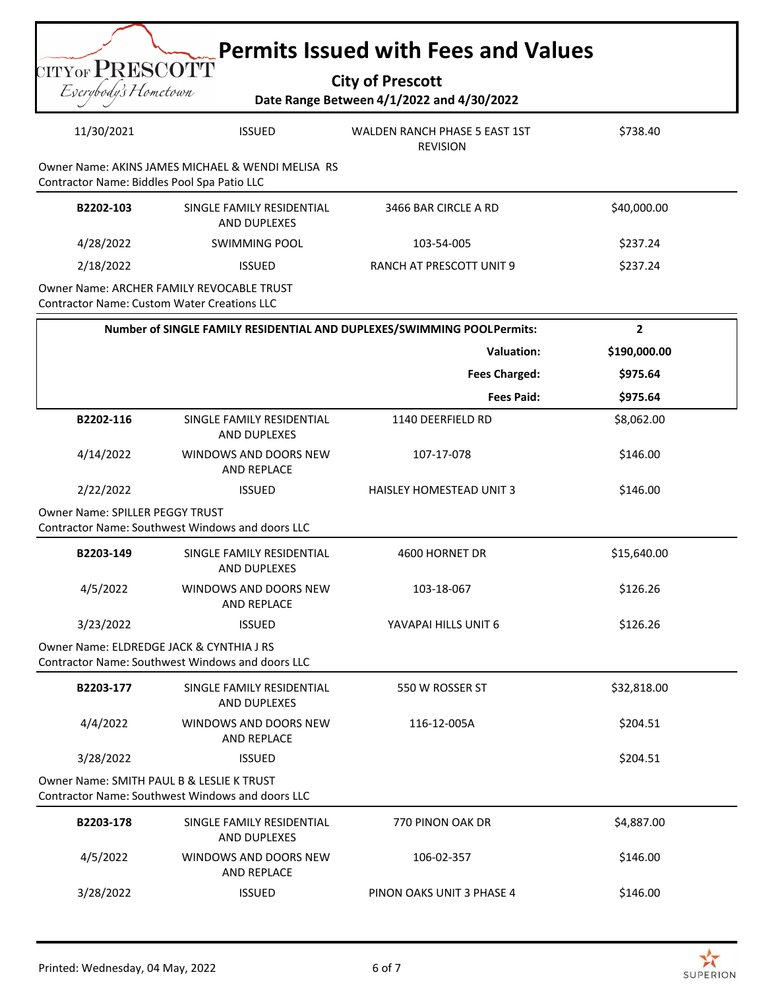| <b>Permits Issued with Fees and Values</b><br>$_{\mathrm{CITYOF}}$ $\mathrm{PRESCOTT}$<br><b>City of Prescott</b><br>Eserybody's Hometown<br>Date Range Between 4/1/2022 and 4/30/2022 |                                                                                                  |                                                                        |                |  |            |
|----------------------------------------------------------------------------------------------------------------------------------------------------------------------------------------|--------------------------------------------------------------------------------------------------|------------------------------------------------------------------------|----------------|--|------------|
|                                                                                                                                                                                        |                                                                                                  |                                                                        |                |  | 11/30/2021 |
|                                                                                                                                                                                        | Owner Name: AKINS JAMES MICHAEL & WENDI MELISA RS<br>Contractor Name: Biddles Pool Spa Patio LLC |                                                                        |                |  |            |
| B2202-103                                                                                                                                                                              | SINGLE FAMILY RESIDENTIAL<br><b>AND DUPLEXES</b>                                                 | 3466 BAR CIRCLE A RD                                                   | \$40,000.00    |  |            |
| 4/28/2022                                                                                                                                                                              | SWIMMING POOL                                                                                    | 103-54-005                                                             | \$237.24       |  |            |
| 2/18/2022                                                                                                                                                                              | <b>ISSUED</b>                                                                                    | RANCH AT PRESCOTT UNIT 9                                               | \$237.24       |  |            |
| <b>Contractor Name: Custom Water Creations LLC</b>                                                                                                                                     | <b>Owner Name: ARCHER FAMILY REVOCABLE TRUST</b>                                                 |                                                                        |                |  |            |
|                                                                                                                                                                                        |                                                                                                  | Number of SINGLE FAMILY RESIDENTIAL AND DUPLEXES/SWIMMING POOLPermits: | $\overline{2}$ |  |            |
|                                                                                                                                                                                        |                                                                                                  | <b>Valuation:</b>                                                      | \$190,000.00   |  |            |
|                                                                                                                                                                                        |                                                                                                  | <b>Fees Charged:</b>                                                   | \$975.64       |  |            |
|                                                                                                                                                                                        |                                                                                                  | <b>Fees Paid:</b>                                                      | \$975.64       |  |            |
| B2202-116                                                                                                                                                                              | SINGLE FAMILY RESIDENTIAL<br><b>AND DUPLEXES</b>                                                 | 1140 DEERFIELD RD                                                      | \$8,062.00     |  |            |
| 4/14/2022                                                                                                                                                                              | WINDOWS AND DOORS NEW<br><b>AND REPLACE</b>                                                      | 107-17-078                                                             | \$146.00       |  |            |
| 2/22/2022                                                                                                                                                                              | <b>ISSUED</b>                                                                                    | <b>HAISLEY HOMESTEAD UNIT 3</b>                                        | \$146.00       |  |            |
| <b>Owner Name: SPILLER PEGGY TRUST</b><br>Contractor Name: Southwest Windows and doors LLC                                                                                             |                                                                                                  |                                                                        |                |  |            |
| B2203-149                                                                                                                                                                              | SINGLE FAMILY RESIDENTIAL<br><b>AND DUPLEXES</b>                                                 | 4600 HORNET DR                                                         | \$15,640.00    |  |            |
| 4/5/2022                                                                                                                                                                               | WINDOWS AND DOORS NEW<br>AND REPLACE                                                             | 103-18-067                                                             | \$126.26       |  |            |
| 3/23/2022                                                                                                                                                                              | <b>ISSUED</b>                                                                                    | YAVAPAI HILLS UNIT 6                                                   | \$126.26       |  |            |
| Owner Name: ELDREDGE JACK & CYNTHIA J RS<br>Contractor Name: Southwest Windows and doors LLC                                                                                           |                                                                                                  |                                                                        |                |  |            |
| B2203-177                                                                                                                                                                              | SINGLE FAMILY RESIDENTIAL<br>AND DUPLEXES                                                        | 550 W ROSSER ST                                                        | \$32,818.00    |  |            |
| 4/4/2022                                                                                                                                                                               | WINDOWS AND DOORS NEW<br>AND REPLACE                                                             | 116-12-005A                                                            | \$204.51       |  |            |
| 3/28/2022                                                                                                                                                                              | <b>ISSUED</b>                                                                                    |                                                                        | \$204.51       |  |            |
| Owner Name: SMITH PAUL B & LESLIE K TRUST<br>Contractor Name: Southwest Windows and doors LLC                                                                                          |                                                                                                  |                                                                        |                |  |            |
| B2203-178                                                                                                                                                                              | SINGLE FAMILY RESIDENTIAL<br>AND DUPLEXES                                                        | 770 PINON OAK DR                                                       | \$4,887.00     |  |            |
| 4/5/2022                                                                                                                                                                               | WINDOWS AND DOORS NEW<br><b>AND REPLACE</b>                                                      | 106-02-357                                                             | \$146.00       |  |            |
| 3/28/2022                                                                                                                                                                              | <b>ISSUED</b>                                                                                    | PINON OAKS UNIT 3 PHASE 4                                              | \$146.00       |  |            |